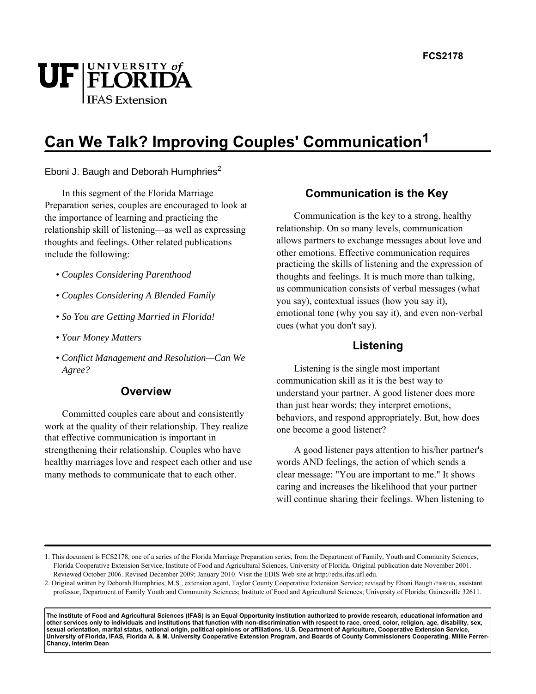

# **Can We Talk? Improving Couples' Communication1**

Eboni J. Baugh and Deborah Humphries $2$ 

In this segment of the Florida Marriage Preparation series, couples are encouraged to look at the importance of learning and practicing the relationship skill of listening—as well as expressing thoughts and feelings. Other related publications include the following:

- *Couples Considering Parenthood*
- *Couples Considering A Blended Family*
- *So You are Getting Married in Florida!*
- *Your Money Matters*
- *Conflict Management and Resolution—Can We Agree?*

# **Overview**

Committed couples care about and consistently work at the quality of their relationship. They realize that effective communication is important in strengthening their relationship. Couples who have healthy marriages love and respect each other and use many methods to communicate that to each other.

# **Communication is the Key**

Communication is the key to a strong, healthy relationship. On so many levels, communication allows partners to exchange messages about love and other emotions. Effective communication requires practicing the skills of listening and the expression of thoughts and feelings. It is much more than talking, as communication consists of verbal messages (what you say), contextual issues (how you say it), emotional tone (why you say it), and even non-verbal cues (what you don't say).

# **Listening**

Listening is the single most important communication skill as it is the best way to understand your partner. A good listener does more than just hear words; they interpret emotions, behaviors, and respond appropriately. But, how does one become a good listener?

A good listener pays attention to his/her partner's words AND feelings, the action of which sends a clear message: "You are important to me." It shows caring and increases the likelihood that your partner will continue sharing their feelings. When listening to

**The Institute of Food and Agricultural Sciences (IFAS) is an Equal Opportunity Institution authorized to provide research, educational information and other services only to individuals and institutions that function with non-discrimination with respect to race, creed, color, religion, age, disability, sex, sexual orientation, marital status, national origin, political opinions or affiliations. U.S. Department of Agriculture, Cooperative Extension Service, University of Florida, IFAS, Florida A. & M. University Cooperative Extension Program, and Boards of County Commissioners Cooperating. Millie Ferrer-Chancy, Interim Dean**

<sup>1.</sup> This document is FCS2178, one of a series of the Florida Marriage Preparation series, from the Department of Family, Youth and Community Sciences, Florida Cooperative Extension Service, Institute of Food and Agricultural Sciences, University of Florida. Original publication date November 2001. Reviewed October 2006. Revised December 2009; January 2010. Visit the EDIS Web site at http://edis.ifas.ufl.edu.

<sup>2.</sup> Original written by Deborah Humphries, M.S., extension agent, Taylor County Cooperative Extension Service; revised by Eboni Baugh (2009/10), assistant professor, Department of Family Youth and Community Sciences; Institute of Food and Agricultural Sciences; University of Florida; Gainesville 32611.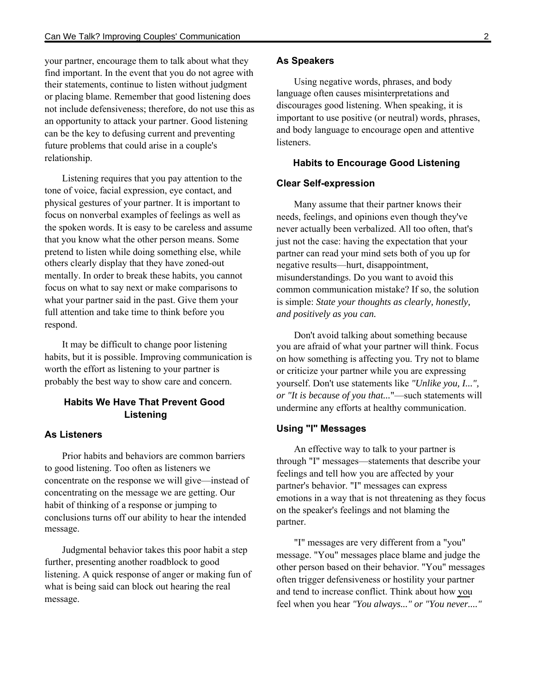your partner, encourage them to talk about what they find important. In the event that you do not agree with their statements, continue to listen without judgment or placing blame. Remember that good listening does not include defensiveness; therefore, do not use this as an opportunity to attack your partner. Good listening can be the key to defusing current and preventing future problems that could arise in a couple's relationship.

Listening requires that you pay attention to the tone of voice, facial expression, eye contact, and physical gestures of your partner. It is important to focus on nonverbal examples of feelings as well as the spoken words. It is easy to be careless and assume that you know what the other person means. Some pretend to listen while doing something else, while others clearly display that they have zoned-out mentally. In order to break these habits, you cannot focus on what to say next or make comparisons to what your partner said in the past. Give them your full attention and take time to think before you respond.

It may be difficult to change poor listening habits, but it is possible. Improving communication is worth the effort as listening to your partner is probably the best way to show care and concern.

# **Habits We Have That Prevent Good Listening**

#### **As Listeners**

Prior habits and behaviors are common barriers to good listening. Too often as listeners we concentrate on the response we will give—instead of concentrating on the message we are getting. Our habit of thinking of a response or jumping to conclusions turns off our ability to hear the intended message.

Judgmental behavior takes this poor habit a step further, presenting another roadblock to good listening. A quick response of anger or making fun of what is being said can block out hearing the real message.

#### **As Speakers**

Using negative words, phrases, and body language often causes misinterpretations and discourages good listening. When speaking, it is important to use positive (or neutral) words, phrases, and body language to encourage open and attentive listeners.

#### **Habits to Encourage Good Listening**

#### **Clear Self-expression**

Many assume that their partner knows their needs, feelings, and opinions even though they've never actually been verbalized. All too often, that's just not the case: having the expectation that your partner can read your mind sets both of you up for negative results—hurt, disappointment, misunderstandings. Do you want to avoid this common communication mistake? If so, the solution is simple: *State your thoughts as clearly, honestly, and positively as you can.*

Don't avoid talking about something because you are afraid of what your partner will think. Focus on how something is affecting you. Try not to blame or criticize your partner while you are expressing yourself. Don't use statements like *"Unlike you, I...", or "It is because of you that...*"—such statements will undermine any efforts at healthy communication.

## **Using "I" Messages**

An effective way to talk to your partner is through "I" messages—statements that describe your feelings and tell how you are affected by your partner's behavior. "I" messages can express emotions in a way that is not threatening as they focus on the speaker's feelings and not blaming the partner.

"I" messages are very different from a "you" message. "You" messages place blame and judge the other person based on their behavior. "You" messages often trigger defensiveness or hostility your partner and tend to increase conflict. Think about how you feel when you hear *"You always..." or "You never...."*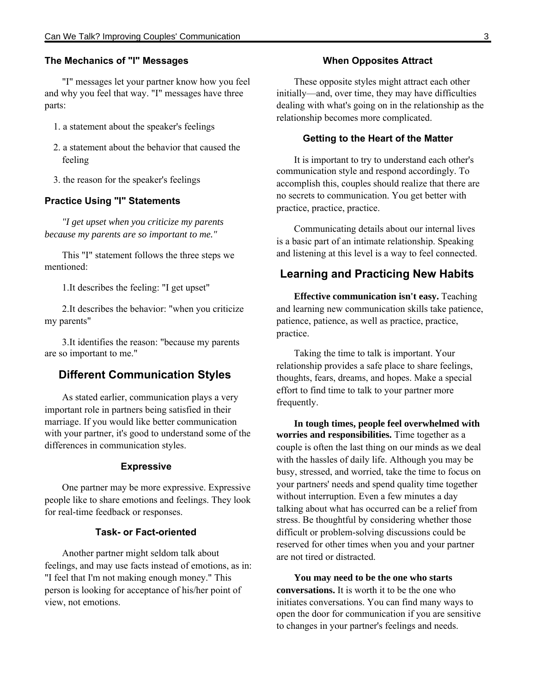#### **The Mechanics of "I" Messages**

"I" messages let your partner know how you feel and why you feel that way. "I" messages have three parts:

- 1. a statement about the speaker's feelings
- 2. a statement about the behavior that caused the feeling
- 3. the reason for the speaker's feelings

#### **Practice Using "I" Statements**

*"I get upset when you criticize my parents because my parents are so important to me."*

This "I" statement follows the three steps we mentioned:

1.It describes the feeling: "I get upset"

2.It describes the behavior: "when you criticize my parents"

3.It identifies the reason: "because my parents are so important to me."

## **Different Communication Styles**

As stated earlier, communication plays a very important role in partners being satisfied in their marriage. If you would like better communication with your partner, it's good to understand some of the differences in communication styles.

#### **Expressive**

One partner may be more expressive. Expressive people like to share emotions and feelings. They look for real-time feedback or responses.

### **Task- or Fact-oriented**

Another partner might seldom talk about feelings, and may use facts instead of emotions, as in: "I feel that I'm not making enough money." This person is looking for acceptance of his/her point of view, not emotions.

#### **When Opposites Attract**

These opposite styles might attract each other initially—and, over time, they may have difficulties dealing with what's going on in the relationship as the relationship becomes more complicated.

#### **Getting to the Heart of the Matter**

It is important to try to understand each other's communication style and respond accordingly. To accomplish this, couples should realize that there are no secrets to communication. You get better with practice, practice, practice.

Communicating details about our internal lives is a basic part of an intimate relationship. Speaking and listening at this level is a way to feel connected.

# **Learning and Practicing New Habits**

**Effective communication isn't easy.** Teaching and learning new communication skills take patience, patience, patience, as well as practice, practice, practice.

Taking the time to talk is important. Your relationship provides a safe place to share feelings, thoughts, fears, dreams, and hopes. Make a special effort to find time to talk to your partner more frequently.

**In tough times, people feel overwhelmed with worries and responsibilities.** Time together as a couple is often the last thing on our minds as we deal with the hassles of daily life. Although you may be busy, stressed, and worried, take the time to focus on your partners' needs and spend quality time together without interruption. Even a few minutes a day talking about what has occurred can be a relief from stress. Be thoughtful by considering whether those difficult or problem-solving discussions could be reserved for other times when you and your partner are not tired or distracted.

**You may need to be the one who starts conversations.** It is worth it to be the one who initiates conversations. You can find many ways to open the door for communication if you are sensitive to changes in your partner's feelings and needs.